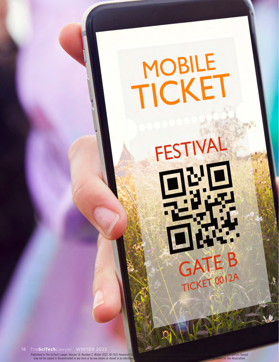# TICKET

FESTIVAL GATEB TICKET 0012A

18 The**SciTech**Lawyer WINTER 2022 Published in The SciTech Lawyer, Volume 18, Number 2, Winter 2022. © 2022 American Bar Association. Reproduced with permission. All rights reserved. This information or any portion thereof may not by any means or stored in may not be copied or disseminated in any form or by any means or stored in an electron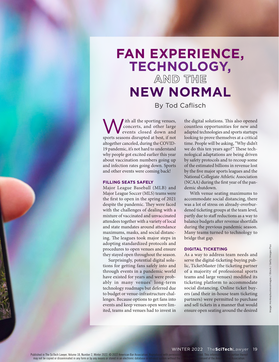# **FAN EXPERIENCE, TECHNOLOGY, AND THE NEW NORMAL**

By Tod Caflisch

With all the sporting venues,<br>concerts, and other large<br>aparts spacens disrupted at heat if not concerts, and other large events closed down and sports seasons disrupted at best, if not altogether canceled, during the COVID-19 pandemic, it's not hard to understand why people got excited earlier this year about vaccination numbers going up and infection rates going down. Sports and other events were coming back!

### **FILLING SEATS SAFELY**

Major League Baseball (MLB) and Major League Soccer (MLS) teams were the first to open in the spring of 2021 despite the pandemic. They were faced with the challenges of dealing with a mixture of vaccinated and unvaccinated attendees together with a variety of local and state mandates around attendance maximums, masks, and social distancing. The leagues took major steps in adopting standardized protocols and procedures to open venues and ensure they stayed open throughout the season.

Surprisingly, potential digital solutions for getting fans safely into and through events in a pandemic world have existed for years and were probably in many venues' long-term technology roadmaps but deferred due to budget or venue-infrastructure challenges. Because options to get fans into events and keep venues open were limited, teams and venues had to invest in the digital solutions. This also opened countless opportunities for new and adapted technologies and sports startups looking to prove themselves at a critical time. People will be asking, "Why didn't we do this ten years ago?" These technological adaptations are being driven by safety protocols and to recoup some of the estimated billions in revenue lost by the five major sports leagues and the National Collegiate Athletic Association (NCAA) during the first year of the pandemic shutdown.

With venue seating maximums to accommodate social distancing, there was a lot of stress on already-overburdened ticketing groups at the team level, partly due to staff reductions as a way to balance budgets after revenue shortfalls during the previous pandemic season. Many teams turned to technology to bridge that gap.

# **DIGITAL TICKETING**

As a way to address team needs and serve the digital-ticketing-buying public, TicketMaster (the ticketing partner of a majority of professional sports teams and large venues) modified its ticketing platform to accommodate social distancing. Online ticket buyers (and their in-house team ticketing partners) were permitted to purchase and sell tickets in a manner that would ensure open seating around the desired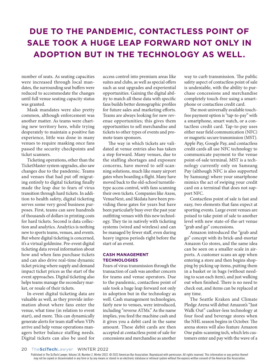# **DUE TO THE PANDEMIC, CONTACTLESS POINT OF SALE TOOK A HUGE LEAP FORWARD NOT ONLY IN ADOPTION BUT IN THE TECHNOLOGY AS WELL.**

number of seats. As seating capacities were increased through local mandates, the surrounding seat buffers were reduced to accommodate the changes until full venue seating capacity status was granted.

Mask mandates were also pretty common, although enforcement was another matter. As teams were charting new territory here, while trying desperately to maintain a positive fan experience, little was done in many venues to require masking once fans passed the security checkpoints and ticket scanners.

Ticketing operations, other than the TicketMaster system upgrades, also saw changes due to the pandemic. Teams and venues that had put off migrating entirely to digital ticketing finally made the leap due to fears of virus transition through hard tickets. In addition to health safety, digital ticketing serves some very good business purposes. First, teams can save hundreds of thousands of dollars in printing costs for hard tickets. Second is data collection and analytics. Analytics is nothing new to sports teams, venues, and events. But where digital ticketing is concerned, it's a virtual goldmine. Pre-event digital ticketing data reveal information about how and when fans purchase tickets and can also drive real-time dynamic ticket pricing where supply and demand impact ticket prices as the start of the event approaches. Digital ticketing also helps teams manage the secondary market, or resale of their tickets.

In-event digital ticketing data are valuable as well, as they provide information about where fans enter the venue, what time (in relation to event start), and more. This can dynamically generate alerts for team staff when VIPs arrive and help venue operations managers better balance staffing needs. Digital tickets can also be used for

access control into premium areas like suites and clubs, as well as special offers such as seat upgrades and experiential opportunities. Gaining the digital ability to match all these data with specific fans builds better demographic profiles for future sales and marketing efforts. Teams are always looking for new revenue opportunities; this gives them opportunities to sell merchandise and tickets to other types of events and promote team sponsors.

The way in which tickets are validated at venue entries also has taken a step forward. Many venues, due to the staffing shortages and exposure concerns, have moved to self-scanning solutions, much like many airport gates when boarding a flight. Many have moved back to the old-school turnstiletype access control, with fans scanning their own tickets. Companies like Axess, VenueNext, and Skidata have been providing these gates for years but have been particularly busy over the past year outfitting venues with this new technology. They tie in natively with ticketing systems (wired and wireless) and can be managed by fewer staff, even during heavy ingress periods right before the start of an event.

# **CASH MANAGEMENT TECHNOLOGIES**

Fears of virus transmission through the transaction of cash was another concern for teams and venue operators. Due to the pandemic, contactless point of sale took a huge leap forward not only in adoption but in the technology as well. Cash management technologies, fairly new to venues, were introduced, including "reverse ATMs." As the name implies, you feed the machine cash and it gives you a debit card in the same amount. These debit cards are then accepted at contactless point of sale for concessions and merchandise as another

way to curb transmission. The public safety aspect of contactless point of sale is undeniable, with the ability to purchase concessions and merchandise completely touch-free using a smartphone or contactless credit card.

The most universally available touchfree payment option is "tap-to-pay" with a smartphone, smart watch, or a contactless credit card. Tap-to-pay uses either near field communication (NFC) or magnetic secure transmission (MST). Apple Pay, Google Pay, and contactless credit cards all use NFC technology to communicate payment to the venue point-of-sale terminal. MST is a technology currently only on Samsung Pay (although NFC is also supported by Samsung) where your smartphone mimics the act of swiping your credit card on a terminal that does not support NFC.

Contactless point of sale is fast and easy, two elements that fans expect at sporting events. Large event venues are poised to take point of sale to another level with new state-of-the-art venue "grab and go" concessions.

Amazon introduced the "grab and go" concept with its brick-and-mortar Amazon Go stores, and the same idea can be seen on a smaller scale in airports. A customer scans an app when entering a store and then begins shopping by picking up items, putting them in a basket or in bags (without needing to scan each item), and just walking out when finished. There is no need to check out, and items can be replaced at any time.

The Seattle Kraken and Climate Pledge Arena will debut Amazon's "Just Walk Out" cashier-less technology at four food and beverage stores when the NHL season begins in October. The arena stores will also feature Amazon One palm-scanning tech, which lets customers enter and pay with the wave of a

<sup>20</sup> The**SciTech**Lawyer WINTER 2022

Published in The SciTech Lawyer, Volume 18, Number 2, Winter 2022. @ 2022 American Bar Association. Reproduced with permission. All rights reserved. This information or any portion thereof may not be copied or disseminated in any form or by any means or stored in an electronic database or retrieval system without the express written consent of the American Bar Association.